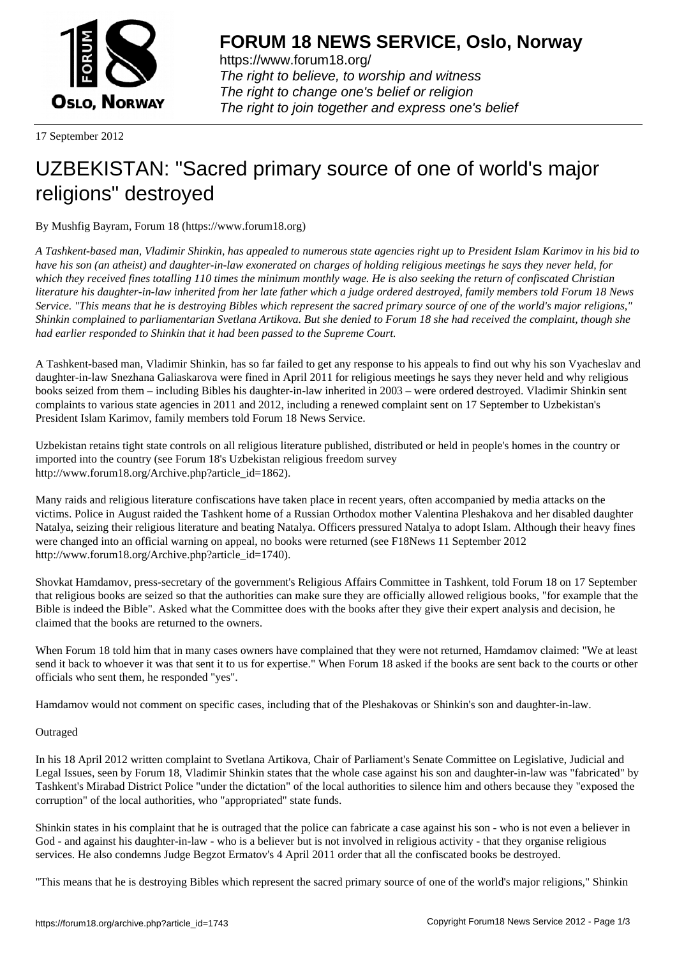

https://www.forum18.org/ The right to believe, to worship and witness The right to change one's belief or religion [The right to join together a](https://www.forum18.org/)nd express one's belief

17 September 2012

## [UZBEKISTAN:](https://www.forum18.org) "Sacred primary source of one of world's major religions" destroyed

By Mushfig Bayram, Forum 18 (https://www.forum18.org)

*A Tashkent-based man, Vladimir Shinkin, has appealed to numerous state agencies right up to President Islam Karimov in his bid to have his son (an atheist) and daughter-in-law exonerated on charges of holding religious meetings he says they never held, for which they received fines totalling 110 times the minimum monthly wage. He is also seeking the return of confiscated Christian literature his daughter-in-law inherited from her late father which a judge ordered destroyed, family members told Forum 18 News Service. "This means that he is destroying Bibles which represent the sacred primary source of one of the world's major religions," Shinkin complained to parliamentarian Svetlana Artikova. But she denied to Forum 18 she had received the complaint, though she had earlier responded to Shinkin that it had been passed to the Supreme Court.*

A Tashkent-based man, Vladimir Shinkin, has so far failed to get any response to his appeals to find out why his son Vyacheslav and daughter-in-law Snezhana Galiaskarova were fined in April 2011 for religious meetings he says they never held and why religious books seized from them – including Bibles his daughter-in-law inherited in 2003 – were ordered destroyed. Vladimir Shinkin sent complaints to various state agencies in 2011 and 2012, including a renewed complaint sent on 17 September to Uzbekistan's President Islam Karimov, family members told Forum 18 News Service.

Uzbekistan retains tight state controls on all religious literature published, distributed or held in people's homes in the country or imported into the country (see Forum 18's Uzbekistan religious freedom survey http://www.forum18.org/Archive.php?article\_id=1862).

Many raids and religious literature confiscations have taken place in recent years, often accompanied by media attacks on the victims. Police in August raided the Tashkent home of a Russian Orthodox mother Valentina Pleshakova and her disabled daughter Natalya, seizing their religious literature and beating Natalya. Officers pressured Natalya to adopt Islam. Although their heavy fines were changed into an official warning on appeal, no books were returned (see F18News 11 September 2012 http://www.forum18.org/Archive.php?article\_id=1740).

Shovkat Hamdamov, press-secretary of the government's Religious Affairs Committee in Tashkent, told Forum 18 on 17 September that religious books are seized so that the authorities can make sure they are officially allowed religious books, "for example that the Bible is indeed the Bible". Asked what the Committee does with the books after they give their expert analysis and decision, he claimed that the books are returned to the owners.

When Forum 18 told him that in many cases owners have complained that they were not returned, Hamdamov claimed: "We at least send it back to whoever it was that sent it to us for expertise." When Forum 18 asked if the books are sent back to the courts or other officials who sent them, he responded "yes".

Hamdamov would not comment on specific cases, including that of the Pleshakovas or Shinkin's son and daughter-in-law.

## Outraged

In his 18 April 2012 written complaint to Svetlana Artikova, Chair of Parliament's Senate Committee on Legislative, Judicial and Legal Issues, seen by Forum 18, Vladimir Shinkin states that the whole case against his son and daughter-in-law was "fabricated" by Tashkent's Mirabad District Police "under the dictation" of the local authorities to silence him and others because they "exposed the corruption" of the local authorities, who "appropriated" state funds.

Shinkin states in his complaint that he is outraged that the police can fabricate a case against his son - who is not even a believer in God - and against his daughter-in-law - who is a believer but is not involved in religious activity - that they organise religious services. He also condemns Judge Begzot Ermatov's 4 April 2011 order that all the confiscated books be destroyed.

"This means that he is destroying Bibles which represent the sacred primary source of one of the world's major religions," Shinkin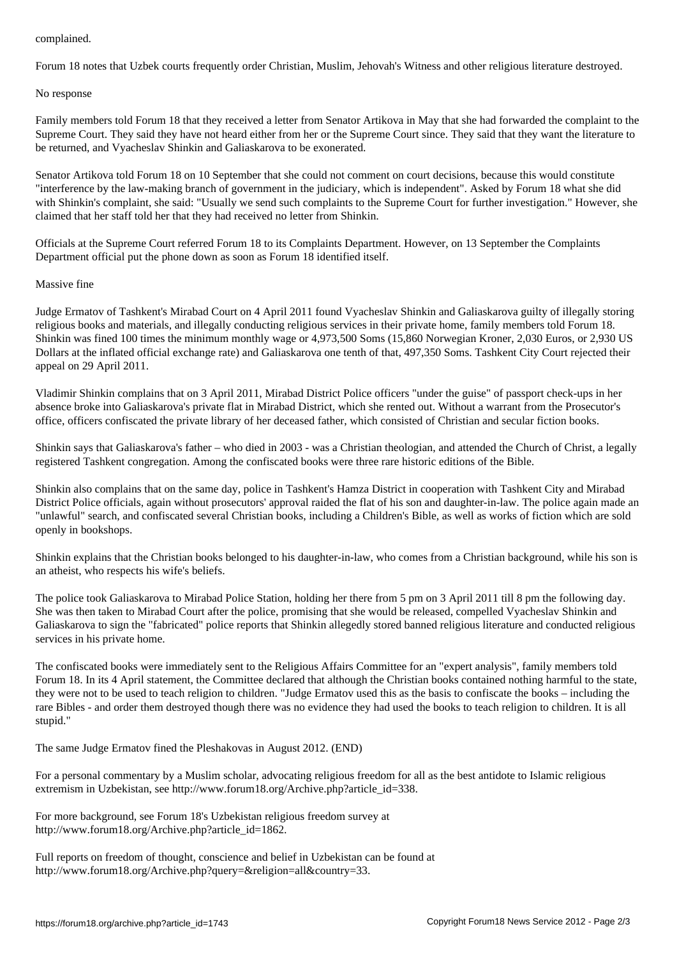Forum 18 notes that Uzbek courts frequently order Christian, Muslim, Jehovah's Witness and other religious literature destroyed.

No response

Family members told Forum 18 that they received a letter from Senator Artikova in May that she had forwarded the complaint to the Supreme Court. They said they have not heard either from her or the Supreme Court since. They said that they want the literature to be returned, and Vyacheslav Shinkin and Galiaskarova to be exonerated.

Senator Artikova told Forum 18 on 10 September that she could not comment on court decisions, because this would constitute "interference by the law-making branch of government in the judiciary, which is independent". Asked by Forum 18 what she did with Shinkin's complaint, she said: "Usually we send such complaints to the Supreme Court for further investigation." However, she claimed that her staff told her that they had received no letter from Shinkin.

Officials at the Supreme Court referred Forum 18 to its Complaints Department. However, on 13 September the Complaints Department official put the phone down as soon as Forum 18 identified itself.

## Massive fine

Judge Ermatov of Tashkent's Mirabad Court on 4 April 2011 found Vyacheslav Shinkin and Galiaskarova guilty of illegally storing religious books and materials, and illegally conducting religious services in their private home, family members told Forum 18. Shinkin was fined 100 times the minimum monthly wage or 4,973,500 Soms (15,860 Norwegian Kroner, 2,030 Euros, or 2,930 US Dollars at the inflated official exchange rate) and Galiaskarova one tenth of that, 497,350 Soms. Tashkent City Court rejected their appeal on 29 April 2011.

Vladimir Shinkin complains that on 3 April 2011, Mirabad District Police officers "under the guise" of passport check-ups in her absence broke into Galiaskarova's private flat in Mirabad District, which she rented out. Without a warrant from the Prosecutor's office, officers confiscated the private library of her deceased father, which consisted of Christian and secular fiction books.

Shinkin says that Galiaskarova's father – who died in 2003 - was a Christian theologian, and attended the Church of Christ, a legally registered Tashkent congregation. Among the confiscated books were three rare historic editions of the Bible.

Shinkin also complains that on the same day, police in Tashkent's Hamza District in cooperation with Tashkent City and Mirabad District Police officials, again without prosecutors' approval raided the flat of his son and daughter-in-law. The police again made an "unlawful" search, and confiscated several Christian books, including a Children's Bible, as well as works of fiction which are sold openly in bookshops.

Shinkin explains that the Christian books belonged to his daughter-in-law, who comes from a Christian background, while his son is an atheist, who respects his wife's beliefs.

The police took Galiaskarova to Mirabad Police Station, holding her there from 5 pm on 3 April 2011 till 8 pm the following day. She was then taken to Mirabad Court after the police, promising that she would be released, compelled Vyacheslav Shinkin and Galiaskarova to sign the "fabricated" police reports that Shinkin allegedly stored banned religious literature and conducted religious services in his private home.

The confiscated books were immediately sent to the Religious Affairs Committee for an "expert analysis", family members told Forum 18. In its 4 April statement, the Committee declared that although the Christian books contained nothing harmful to the state, they were not to be used to teach religion to children. "Judge Ermatov used this as the basis to confiscate the books – including the rare Bibles - and order them destroyed though there was no evidence they had used the books to teach religion to children. It is all stupid."

The same Judge Ermatov fined the Pleshakovas in August 2012. (END)

For a personal commentary by a Muslim scholar, advocating religious freedom for all as the best antidote to Islamic religious extremism in Uzbekistan, see http://www.forum18.org/Archive.php?article\_id=338.

For more background, see Forum 18's Uzbekistan religious freedom survey at http://www.forum18.org/Archive.php?article\_id=1862.

Full reports on freedom of thought, conscience and belief in Uzbekistan can be found at http://www.forum18.org/Archive.php?query=&religion=all&country=33.